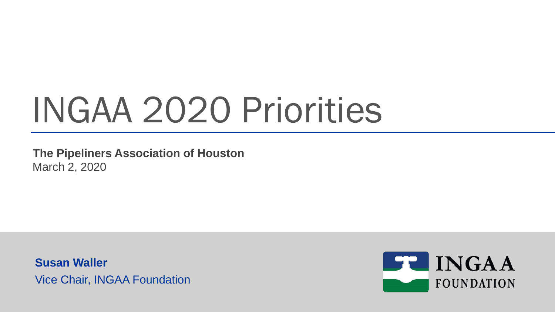# INGAA 2020 Priorities

March 2, 2020 **The Pipeliners Association of Houston**

**Susan Waller** Vice Chair, INGAA Foundation

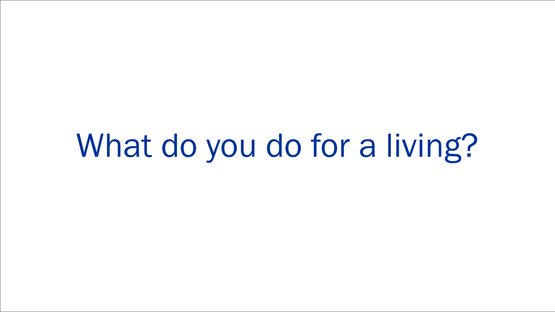What do you do for a living?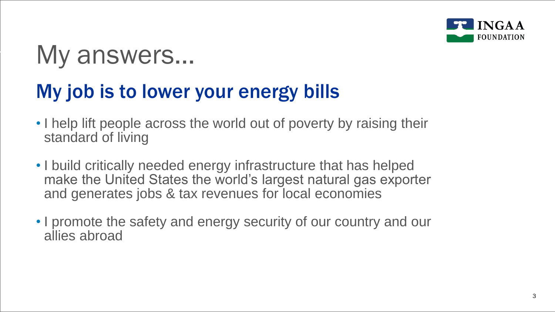

# My answers…

# My job is to lower your energy bills

- I help lift people across the world out of poverty by raising their standard of living
- I build critically needed energy infrastructure that has helped make the United States the world's largest natural gas exporter and generates jobs & tax revenues for local economies
- I promote the safety and energy security of our country and our allies abroad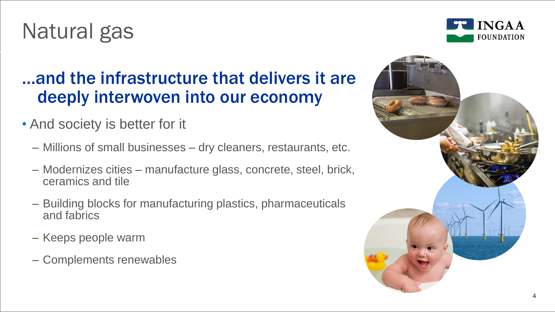# Natural gas



#### …and the infrastructure that delivers it are deeply interwoven into our economy

- And society is better for it
	- Millions of small businesses dry cleaners, restaurants, etc.
	- Modernizes cities manufacture glass, concrete, steel, brick, ceramics and tile
	- Building blocks for manufacturing plastics, pharmaceuticals and fabrics
	- Keeps people warm
	- Complements renewables

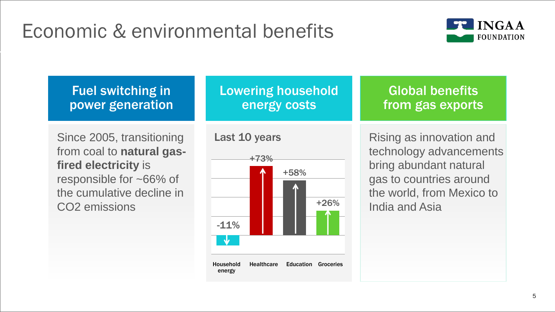# Economic & environmental benefits



Fuel switching in power generation

Since 2005, transitioning from coal to **natural gasfired electricity** is responsible for ~66% of the cumulative decline in CO2 emissions

Lowering household energy costs

Last 10 years



Global benefits from gas exports

Rising as innovation and technology advancements bring abundant natural gas to countries around the world, from Mexico to India and Asia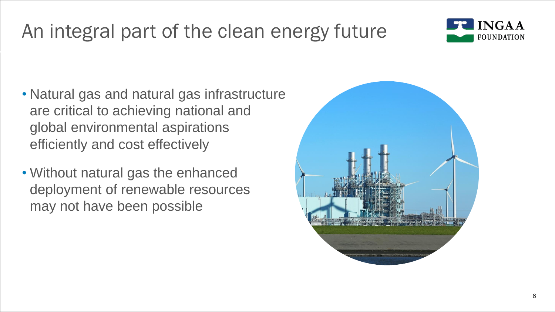### An integral part of the clean energy future



- Natural gas and natural gas infrastructure are critical to achieving national and global environmental aspirations efficiently and cost effectively
- Without natural gas the enhanced deployment of renewable resources may not have been possible

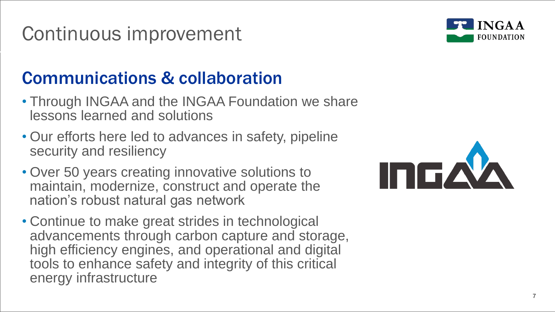# Continuous improvement



#### Communications & collaboration

- Through INGAA and the INGAA Foundation we share lessons learned and solutions
- Our efforts here led to advances in safety, pipeline security and resiliency
- Over 50 years creating innovative solutions to maintain, modernize, construct and operate the nation's robust natural gas network
- Continue to make great strides in technological advancements through carbon capture and storage, high efficiency engines, and operational and digital tools to enhance safety and integrity of this critical energy infrastructure

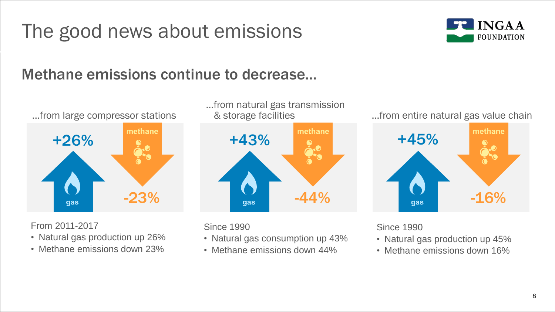#### 8

# The good news about emissions

#### Methane emissions continue to decrease…

#### …from large compressor stations methane +26% -23% **gas**

From 2011-2017

- Natural gas production up 26%
- Methane emissions down 23%





Since 1990

- Natural gas consumption up 43%
- Methane emissions down 44%

& storage facilities …from entire natural gas value chain

**INGAA** 

FOUNDATION



Since 1990

- Natural gas production up 45%
- Methane emissions down 16%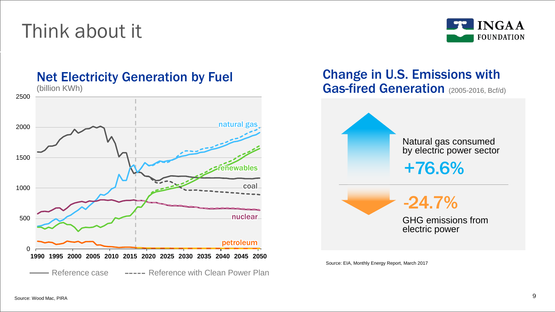# Think about it





#### Change in U.S. Emissions with Gas-fired Generation (2005-2016, Bcf/d)



Source: EIA, Monthly Energy Report, March 2017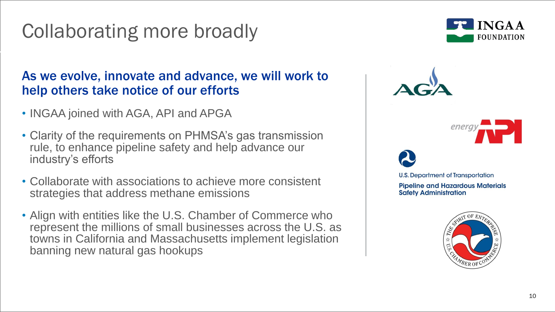# Collaborating more broadly

#### As we evolve, innovate and advance, we will work to help others take notice of our efforts

- INGAA joined with AGA, API and APGA
- Clarity of the requirements on PHMSA's gas transmission rule, to enhance pipeline safety and help advance our industry's efforts
- Collaborate with associations to achieve more consistent strategies that address methane emissions
- Align with entities like the U.S. Chamber of Commerce who represent the millions of small businesses across the U.S. as towns in California and Massachusetts implement legislation banning new natural gas hookups







**U.S. Department of Transportation Pipeline and Hazardous Materials Safety Administration** 



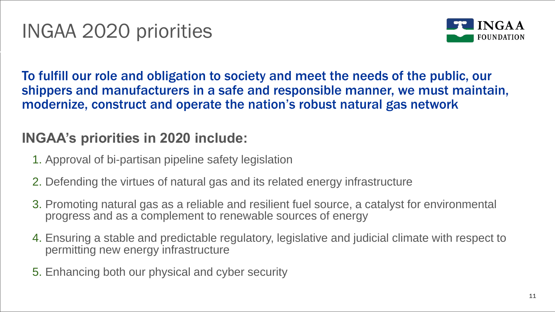

To fulfill our role and obligation to society and meet the needs of the public, our shippers and manufacturers in a safe and responsible manner, we must maintain, modernize, construct and operate the nation's robust natural gas network

#### **INGAA's priorities in 2020 include:**

- 1. Approval of bi-partisan pipeline safety legislation
- 2. Defending the virtues of natural gas and its related energy infrastructure
- 3. Promoting natural gas as a reliable and resilient fuel source, a catalyst for environmental progress and as a complement to renewable sources of energy
- 4. Ensuring a stable and predictable regulatory, legislative and judicial climate with respect to permitting new energy infrastructure
- 5. Enhancing both our physical and cyber security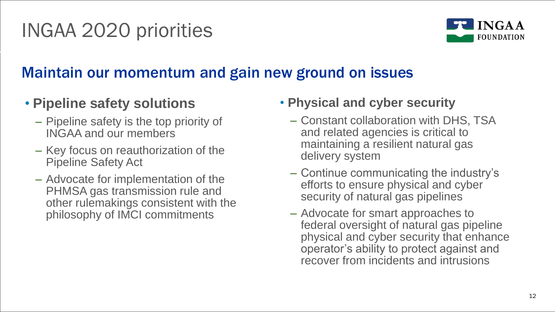# INGAA 2020 priorities



#### Maintain our momentum and gain new ground on issues

#### • **Pipeline safety solutions**

- Pipeline safety is the top priority of INGAA and our members
- Key focus on reauthorization of the Pipeline Safety Act
- Advocate for implementation of the PHMSA gas transmission rule and other rulemakings consistent with the philosophy of IMCI commitments
- **Physical and cyber security**
	- Constant collaboration with DHS, TSA and related agencies is critical to maintaining a resilient natural gas delivery system
	- Continue communicating the industry's efforts to ensure physical and cyber security of natural gas pipelines
	- Advocate for smart approaches to federal oversight of natural gas pipeline physical and cyber security that enhance operator's ability to protect against and recover from incidents and intrusions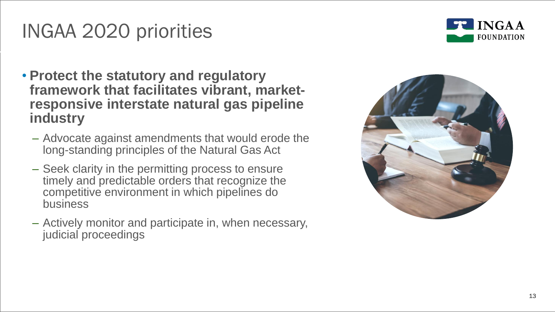## INGAA 2020 priorities

- **Protect the statutory and regulatory framework that facilitates vibrant, marketresponsive interstate natural gas pipeline industry**
	- Advocate against amendments that would erode the long-standing principles of the Natural Gas Act
	- Seek clarity in the permitting process to ensure timely and predictable orders that recognize the competitive environment in which pipelines do business
	- Actively monitor and participate in, when necessary, judicial proceedings



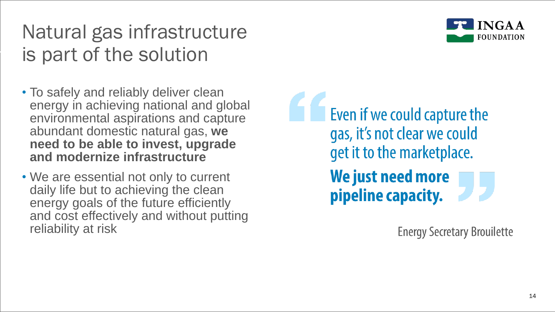# Natural gas infrastructure is part of the solution

- To safely and reliably deliver clean energy in achieving national and global environmental aspirations and capture abundant domestic natural gas, **we need to be able to invest, upgrade and modernize infrastructure**
- We are essential not only to current daily life but to achieving the clean energy goals of the future efficiently and cost effectively and without putting reliability at risk

Even if we could capture the gas, it's not clear we could get it to the marketplace. We just need more pipeline capacity.

**Energy Secretary Broujlette** 



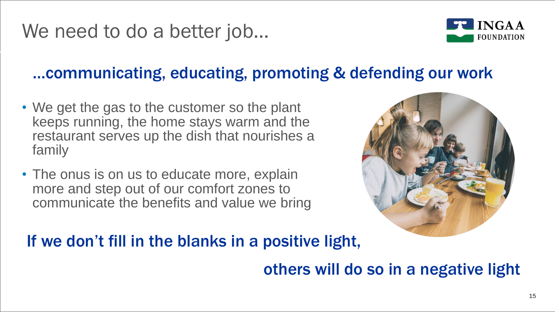### We need to do a better job…



#### …communicating, educating, promoting & defending our work

- We get the gas to the customer so the plant keeps running, the home stays warm and the restaurant serves up the dish that nourishes a family
- The onus is on us to educate more, explain more and step out of our comfort zones to communicate the benefits and value we bring



#### If we don't fill in the blanks in a positive light,

#### others will do so in a negative light